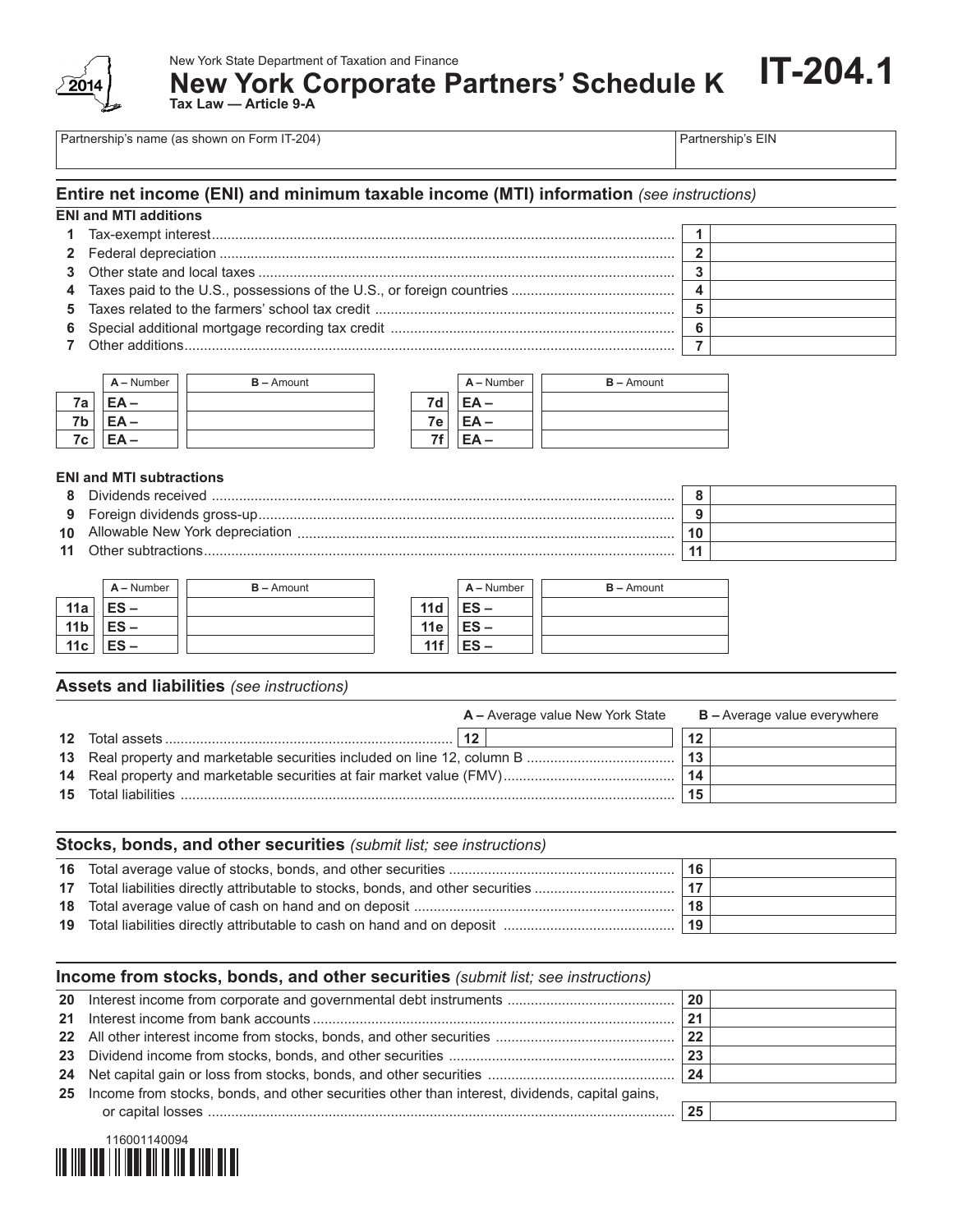

New York State Department of Taxation and Finance

**New York Corporate Partners' Schedule K**

**Tax Law — Article 9-A** 

Partnership's name (as shown on Form IT-204) Partnership's EIN

**IT-204.1**

### **Entire net income (ENI) and minimum taxable income (MTI) information** *(see instructions)*

| <b>ENI and MTI additions</b> |  |
|------------------------------|--|
|                              |  |
|                              |  |
|                              |  |

- **4** Taxes paid to the U.S., possessions of the U.S., or foreign countries .......................................... **4**
- **5** Taxes related to the farmers' school tax credit ............................................................................. **5**
- **6** Special additional mortgage recording tax credit ......................................................................... **6 7** Other additions.............................................................................................................................. **7**



#### **ENI and MTI subtractions**

- **8** Dividends received ....................................................................................................................... **8**
- **9** Foreign dividends gross-up........................................................................................................... **9**
- **10** Allowable New York depreciation ................................................................................................. **10**
- **11** Other subtractions......................................................................................................................... **11**

|                 | $A -$ Number | $B -$ Amount |     | $A -$ Number | $B -$ Amount |
|-----------------|--------------|--------------|-----|--------------|--------------|
| 11a             | $ES -$       |              | 11d | $ES -$       |              |
| 11 <sub>b</sub> | $ES -$       |              | 11e | $ES -$       |              |
| 11c             | $ES -$       |              | 11f | $ES -$       |              |

### **Assets and liabilities** *(see instructions)*

|                             | <b>A</b> – Average value New York State |    | $B -$ Average value everywhere |
|-----------------------------|-----------------------------------------|----|--------------------------------|
| 12                          |                                         | 12 |                                |
|                             |                                         | 13 |                                |
|                             |                                         | 14 |                                |
| <b>15</b> Total liabilities |                                         |    |                                |

| Stocks, bonds, and other securities (submit list; see instructions) |     |  |  |  |  |  |
|---------------------------------------------------------------------|-----|--|--|--|--|--|
|                                                                     | 16  |  |  |  |  |  |
|                                                                     | .17 |  |  |  |  |  |
|                                                                     | 18  |  |  |  |  |  |
|                                                                     | 19  |  |  |  |  |  |

| Income from stocks, bonds, and other securities (submit list; see instructions)                   |    |  |
|---------------------------------------------------------------------------------------------------|----|--|
|                                                                                                   | 20 |  |
|                                                                                                   | 21 |  |
|                                                                                                   | 22 |  |
|                                                                                                   | 23 |  |
|                                                                                                   |    |  |
| 25 Income from stocks, bonds, and other securities other than interest, dividends, capital gains, |    |  |
|                                                                                                   | 25 |  |